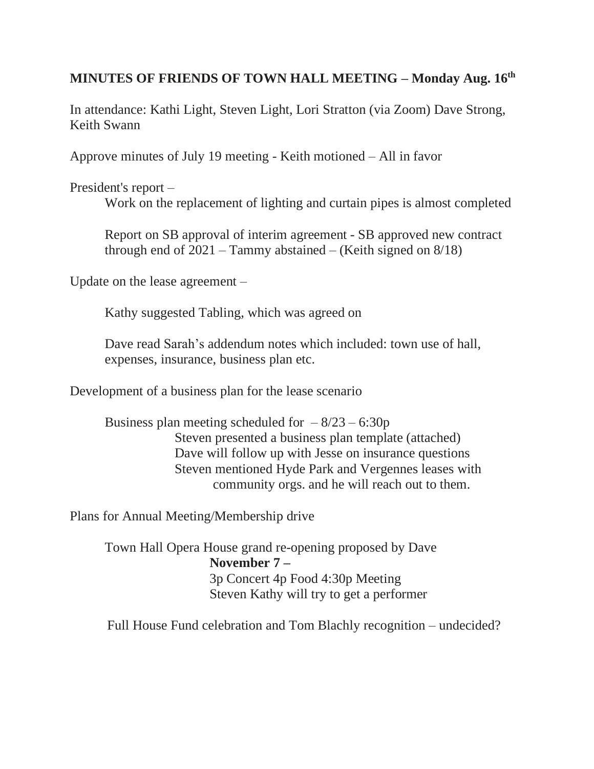## **MINUTES OF FRIENDS OF TOWN HALL MEETING – Monday Aug. 16th**

In attendance: Kathi Light, Steven Light, Lori Stratton (via Zoom) Dave Strong, Keith Swann

Approve minutes of July 19 meeting - Keith motioned – All in favor

President's report –

Work on the replacement of lighting and curtain pipes is almost completed

Report on SB approval of interim agreement - SB approved new contract through end of  $2021 - Tammy$  abstained – (Keith signed on  $8/18$ )

Update on the lease agreement –

Kathy suggested Tabling, which was agreed on

Dave read Sarah's addendum notes which included: town use of hall, expenses, insurance, business plan etc.

Development of a business plan for the lease scenario

Business plan meeting scheduled for  $-8/23 - 6:30p$ Steven presented a business plan template (attached) Dave will follow up with Jesse on insurance questions Steven mentioned Hyde Park and Vergennes leases with community orgs. and he will reach out to them.

Plans for Annual Meeting/Membership drive

Town Hall Opera House grand re-opening proposed by Dave **November 7 –** 3p Concert 4p Food 4:30p Meeting Steven Kathy will try to get a performer

Full House Fund celebration and Tom Blachly recognition – undecided?